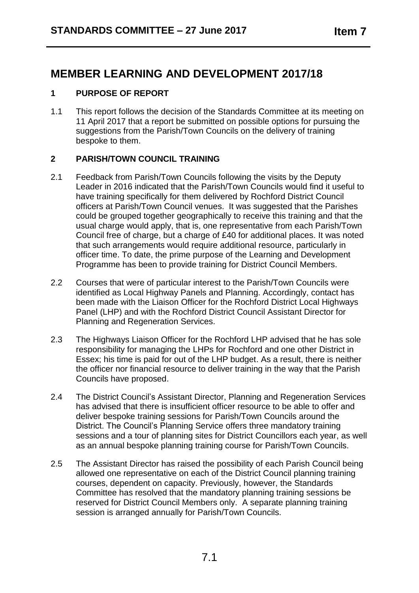# **MEMBER LEARNING AND DEVELOPMENT 2017/18**

## **1 PURPOSE OF REPORT**

1.1 This report follows the decision of the Standards Committee at its meeting on 11 April 2017 that a report be submitted on possible options for pursuing the suggestions from the Parish/Town Councils on the delivery of training bespoke to them.

## **2 PARISH/TOWN COUNCIL TRAINING**

- 2.1 Feedback from Parish/Town Councils following the visits by the Deputy Leader in 2016 indicated that the Parish/Town Councils would find it useful to have training specifically for them delivered by Rochford District Council officers at Parish/Town Council venues. It was suggested that the Parishes could be grouped together geographically to receive this training and that the usual charge would apply, that is, one representative from each Parish/Town Council free of charge, but a charge of £40 for additional places. It was noted that such arrangements would require additional resource, particularly in officer time. To date, the prime purpose of the Learning and Development Programme has been to provide training for District Council Members.
- 2.2 Courses that were of particular interest to the Parish/Town Councils were identified as Local Highway Panels and Planning. Accordingly, contact has been made with the Liaison Officer for the Rochford District Local Highways Panel (LHP) and with the Rochford District Council Assistant Director for Planning and Regeneration Services.
- 2.3 The Highways Liaison Officer for the Rochford LHP advised that he has sole responsibility for managing the LHPs for Rochford and one other District in Essex; his time is paid for out of the LHP budget. As a result, there is neither the officer nor financial resource to deliver training in the way that the Parish Councils have proposed.
- 2.4 The District Council's Assistant Director, Planning and Regeneration Services has advised that there is insufficient officer resource to be able to offer and deliver bespoke training sessions for Parish/Town Councils around the District. The Council's Planning Service offers three mandatory training sessions and a tour of planning sites for District Councillors each year, as well as an annual bespoke planning training course for Parish/Town Councils.
- 2.5 The Assistant Director has raised the possibility of each Parish Council being allowed one representative on each of the District Council planning training courses, dependent on capacity. Previously, however, the Standards Committee has resolved that the mandatory planning training sessions be reserved for District Council Members only. A separate planning training session is arranged annually for Parish/Town Councils.